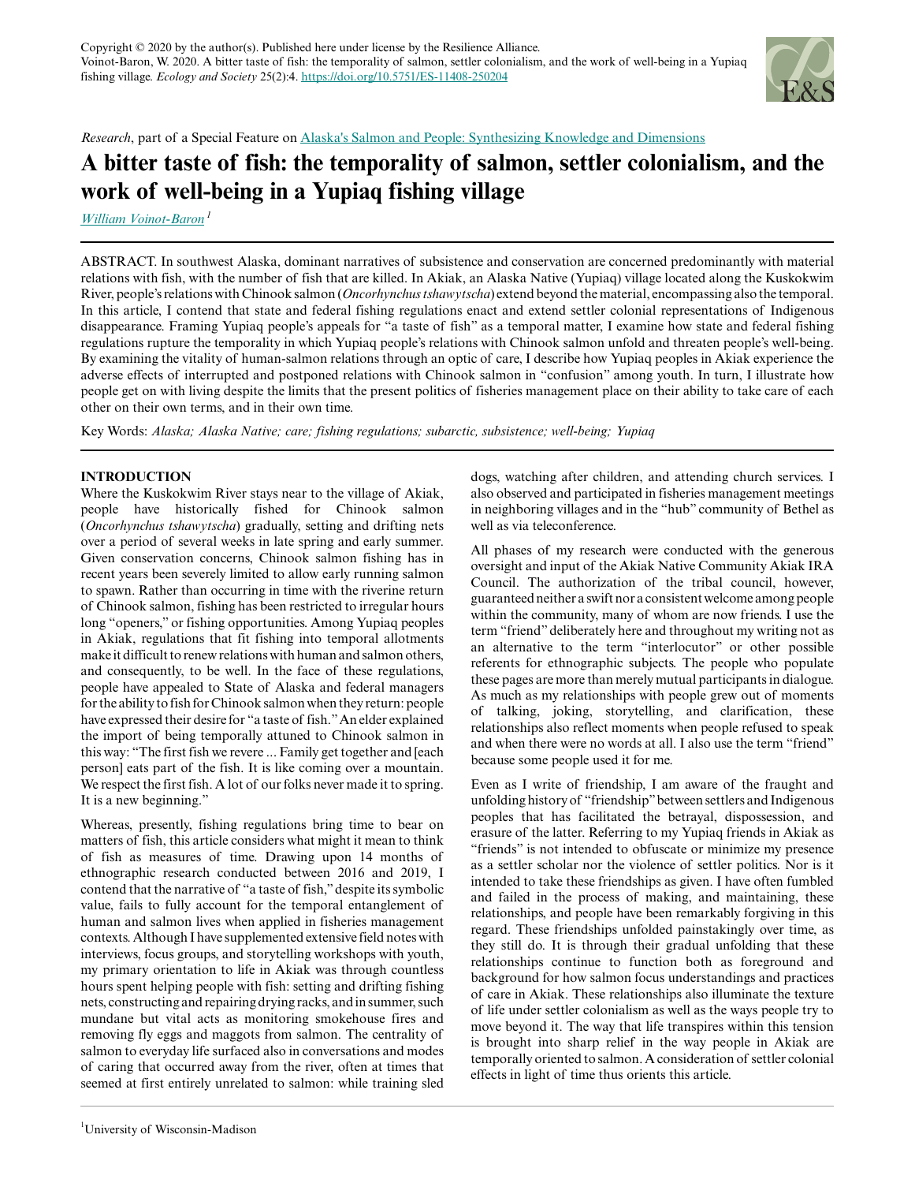

*Research*, part of a Special Feature on [Alaska's Salmon and People: Synthesizing Knowledge and Dimensions](https://www.ecologyandsociety.org/viewissue.php?sf=139)

# **A bitter taste of fish: the temporality of salmon, settler colonialism, and the work of well-being in a Yupiaq fishing village**

*[William Voinot-Baron](mailto:voinotbaron@wisc.edu)<sup>1</sup>*

ABSTRACT. In southwest Alaska, dominant narratives of subsistence and conservation are concerned predominantly with material relations with fish, with the number of fish that are killed. In Akiak, an Alaska Native (Yupiaq) village located along the Kuskokwim River, people's relations with Chinook salmon (*Oncorhynchus tshawytscha*) extend beyond the material, encompassing also the temporal. In this article, I contend that state and federal fishing regulations enact and extend settler colonial representations of Indigenous disappearance. Framing Yupiaq people's appeals for "a taste of fish" as a temporal matter, I examine how state and federal fishing regulations rupture the temporality in which Yupiaq people's relations with Chinook salmon unfold and threaten people's well-being. By examining the vitality of human-salmon relations through an optic of care, I describe how Yupiaq peoples in Akiak experience the adverse effects of interrupted and postponed relations with Chinook salmon in "confusion" among youth. In turn, I illustrate how people get on with living despite the limits that the present politics of fisheries management place on their ability to take care of each other on their own terms, and in their own time.

Key Words: *Alaska; Alaska Native; care; fishing regulations; subarctic, subsistence; well-being; Yupiaq*

## **INTRODUCTION**

Where the Kuskokwim River stays near to the village of Akiak, people have historically fished for Chinook salmon (*Oncorhynchus tshawytscha*) gradually, setting and drifting nets over a period of several weeks in late spring and early summer. Given conservation concerns, Chinook salmon fishing has in recent years been severely limited to allow early running salmon to spawn. Rather than occurring in time with the riverine return of Chinook salmon, fishing has been restricted to irregular hours long "openers," or fishing opportunities. Among Yupiaq peoples in Akiak, regulations that fit fishing into temporal allotments make it difficult to renew relations with human and salmon others, and consequently, to be well. In the face of these regulations, people have appealed to State of Alaska and federal managers for the ability to fish for Chinook salmon when they return: people have expressed their desire for "a taste of fish." An elder explained the import of being temporally attuned to Chinook salmon in this way: "The first fish we revere ... Family get together and [each person] eats part of the fish. It is like coming over a mountain. We respect the first fish. A lot of our folks never made it to spring. It is a new beginning."

Whereas, presently, fishing regulations bring time to bear on matters of fish, this article considers what might it mean to think of fish as measures of time. Drawing upon 14 months of ethnographic research conducted between 2016 and 2019, I contend that the narrative of "a taste of fish," despite its symbolic value, fails to fully account for the temporal entanglement of human and salmon lives when applied in fisheries management contexts. Although I have supplemented extensive field notes with interviews, focus groups, and storytelling workshops with youth, my primary orientation to life in Akiak was through countless hours spent helping people with fish: setting and drifting fishing nets, constructing and repairing drying racks, and in summer, such mundane but vital acts as monitoring smokehouse fires and removing fly eggs and maggots from salmon. The centrality of salmon to everyday life surfaced also in conversations and modes of caring that occurred away from the river, often at times that seemed at first entirely unrelated to salmon: while training sled

dogs, watching after children, and attending church services. I also observed and participated in fisheries management meetings in neighboring villages and in the "hub" community of Bethel as well as via teleconference.

All phases of my research were conducted with the generous oversight and input of the Akiak Native Community Akiak IRA Council. The authorization of the tribal council, however, guaranteed neither a swift nor a consistent welcome among people within the community, many of whom are now friends. I use the term "friend" deliberately here and throughout my writing not as an alternative to the term "interlocutor" or other possible referents for ethnographic subjects. The people who populate these pages are more than merely mutual participants in dialogue. As much as my relationships with people grew out of moments of talking, joking, storytelling, and clarification, these relationships also reflect moments when people refused to speak and when there were no words at all. I also use the term "friend" because some people used it for me.

Even as I write of friendship, I am aware of the fraught and unfolding history of "friendship" between settlers and Indigenous peoples that has facilitated the betrayal, dispossession, and erasure of the latter. Referring to my Yupiaq friends in Akiak as "friends" is not intended to obfuscate or minimize my presence as a settler scholar nor the violence of settler politics. Nor is it intended to take these friendships as given. I have often fumbled and failed in the process of making, and maintaining, these relationships, and people have been remarkably forgiving in this regard. These friendships unfolded painstakingly over time, as they still do. It is through their gradual unfolding that these relationships continue to function both as foreground and background for how salmon focus understandings and practices of care in Akiak. These relationships also illuminate the texture of life under settler colonialism as well as the ways people try to move beyond it. The way that life transpires within this tension is brought into sharp relief in the way people in Akiak are temporally oriented to salmon. A consideration of settler colonial effects in light of time thus orients this article.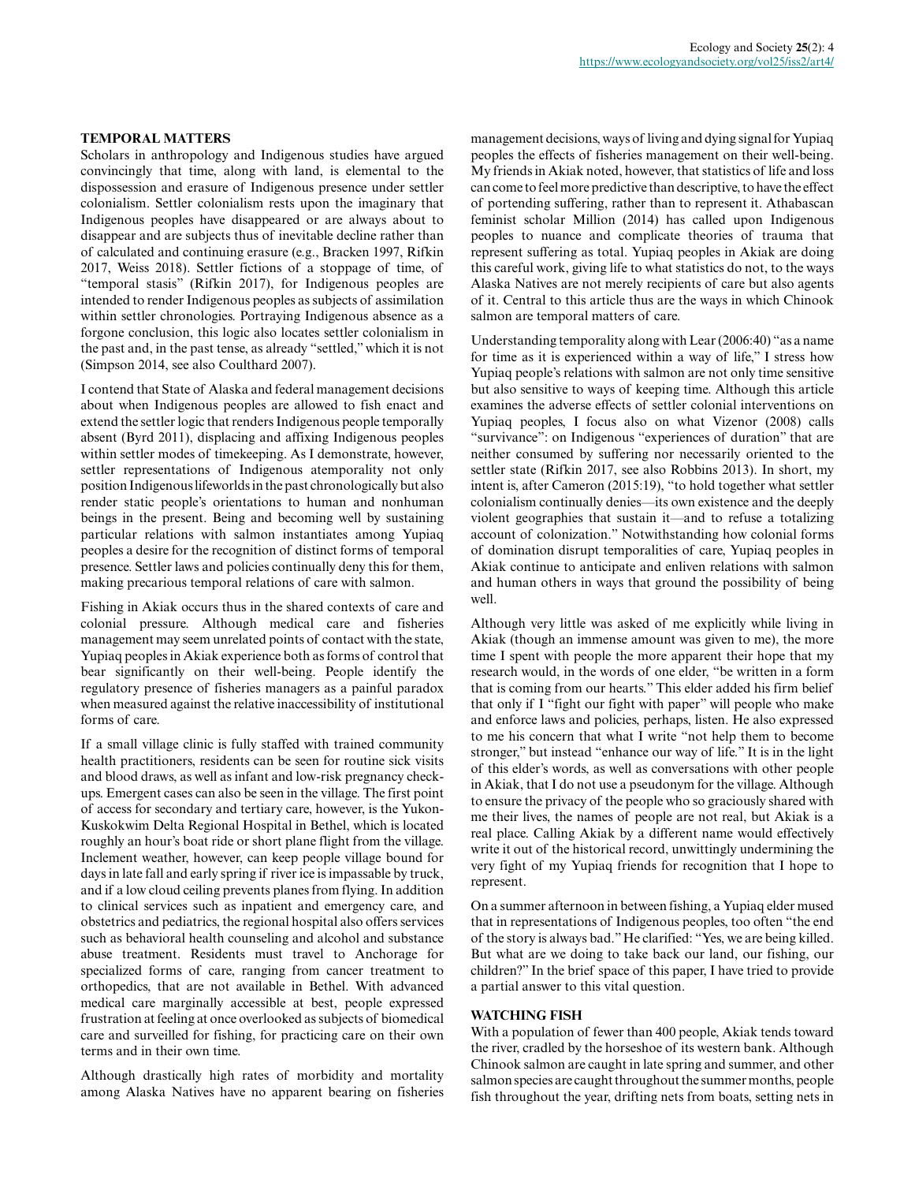## **TEMPORAL MATTERS**

Scholars in anthropology and Indigenous studies have argued convincingly that time, along with land, is elemental to the dispossession and erasure of Indigenous presence under settler colonialism. Settler colonialism rests upon the imaginary that Indigenous peoples have disappeared or are always about to disappear and are subjects thus of inevitable decline rather than of calculated and continuing erasure (e.g., Bracken 1997, Rifkin 2017, Weiss 2018). Settler fictions of a stoppage of time, of "temporal stasis" (Rifkin 2017), for Indigenous peoples are intended to render Indigenous peoples as subjects of assimilation within settler chronologies. Portraying Indigenous absence as a forgone conclusion, this logic also locates settler colonialism in the past and, in the past tense, as already "settled," which it is not (Simpson 2014, see also Coulthard 2007).

I contend that State of Alaska and federal management decisions about when Indigenous peoples are allowed to fish enact and extend the settler logic that renders Indigenous people temporally absent (Byrd 2011), displacing and affixing Indigenous peoples within settler modes of timekeeping. As I demonstrate, however, settler representations of Indigenous atemporality not only position Indigenous lifeworlds in the past chronologically but also render static people's orientations to human and nonhuman beings in the present. Being and becoming well by sustaining particular relations with salmon instantiates among Yupiaq peoples a desire for the recognition of distinct forms of temporal presence. Settler laws and policies continually deny this for them, making precarious temporal relations of care with salmon.

Fishing in Akiak occurs thus in the shared contexts of care and colonial pressure. Although medical care and fisheries management may seem unrelated points of contact with the state, Yupiaq peoples in Akiak experience both as forms of control that bear significantly on their well-being. People identify the regulatory presence of fisheries managers as a painful paradox when measured against the relative inaccessibility of institutional forms of care.

If a small village clinic is fully staffed with trained community health practitioners, residents can be seen for routine sick visits and blood draws, as well as infant and low-risk pregnancy checkups. Emergent cases can also be seen in the village. The first point of access for secondary and tertiary care, however, is the Yukon-Kuskokwim Delta Regional Hospital in Bethel, which is located roughly an hour's boat ride or short plane flight from the village. Inclement weather, however, can keep people village bound for days in late fall and early spring if river ice is impassable by truck, and if a low cloud ceiling prevents planes from flying. In addition to clinical services such as inpatient and emergency care, and obstetrics and pediatrics, the regional hospital also offers services such as behavioral health counseling and alcohol and substance abuse treatment. Residents must travel to Anchorage for specialized forms of care, ranging from cancer treatment to orthopedics, that are not available in Bethel. With advanced medical care marginally accessible at best, people expressed frustration at feeling at once overlooked as subjects of biomedical care and surveilled for fishing, for practicing care on their own terms and in their own time.

Although drastically high rates of morbidity and mortality among Alaska Natives have no apparent bearing on fisheries

management decisions, ways of living and dying signal for Yupiaq peoples the effects of fisheries management on their well-being. My friends in Akiak noted, however, that statistics of life and loss can come to feel more predictive than descriptive, to have the effect of portending suffering, rather than to represent it. Athabascan feminist scholar Million (2014) has called upon Indigenous peoples to nuance and complicate theories of trauma that represent suffering as total. Yupiaq peoples in Akiak are doing this careful work, giving life to what statistics do not, to the ways Alaska Natives are not merely recipients of care but also agents of it. Central to this article thus are the ways in which Chinook salmon are temporal matters of care.

Understanding temporality along with Lear (2006:40) "as a name for time as it is experienced within a way of life," I stress how Yupiaq people's relations with salmon are not only time sensitive but also sensitive to ways of keeping time. Although this article examines the adverse effects of settler colonial interventions on Yupiaq peoples, I focus also on what Vizenor (2008) calls "survivance": on Indigenous "experiences of duration" that are neither consumed by suffering nor necessarily oriented to the settler state (Rifkin 2017, see also Robbins 2013). In short, my intent is, after Cameron (2015:19), "to hold together what settler colonialism continually denies—its own existence and the deeply violent geographies that sustain it—and to refuse a totalizing account of colonization." Notwithstanding how colonial forms of domination disrupt temporalities of care, Yupiaq peoples in Akiak continue to anticipate and enliven relations with salmon and human others in ways that ground the possibility of being well.

Although very little was asked of me explicitly while living in Akiak (though an immense amount was given to me), the more time I spent with people the more apparent their hope that my research would, in the words of one elder, "be written in a form that is coming from our hearts." This elder added his firm belief that only if I "fight our fight with paper" will people who make and enforce laws and policies, perhaps, listen. He also expressed to me his concern that what I write "not help them to become stronger," but instead "enhance our way of life." It is in the light of this elder's words, as well as conversations with other people in Akiak, that I do not use a pseudonym for the village. Although to ensure the privacy of the people who so graciously shared with me their lives, the names of people are not real, but Akiak is a real place. Calling Akiak by a different name would effectively write it out of the historical record, unwittingly undermining the very fight of my Yupiaq friends for recognition that I hope to represent.

On a summer afternoon in between fishing, a Yupiaq elder mused that in representations of Indigenous peoples, too often "the end of the story is always bad." He clarified: "Yes, we are being killed. But what are we doing to take back our land, our fishing, our children?" In the brief space of this paper, I have tried to provide a partial answer to this vital question.

## **WATCHING FISH**

With a population of fewer than 400 people, Akiak tends toward the river, cradled by the horseshoe of its western bank. Although Chinook salmon are caught in late spring and summer, and other salmon species are caught throughout the summer months, people fish throughout the year, drifting nets from boats, setting nets in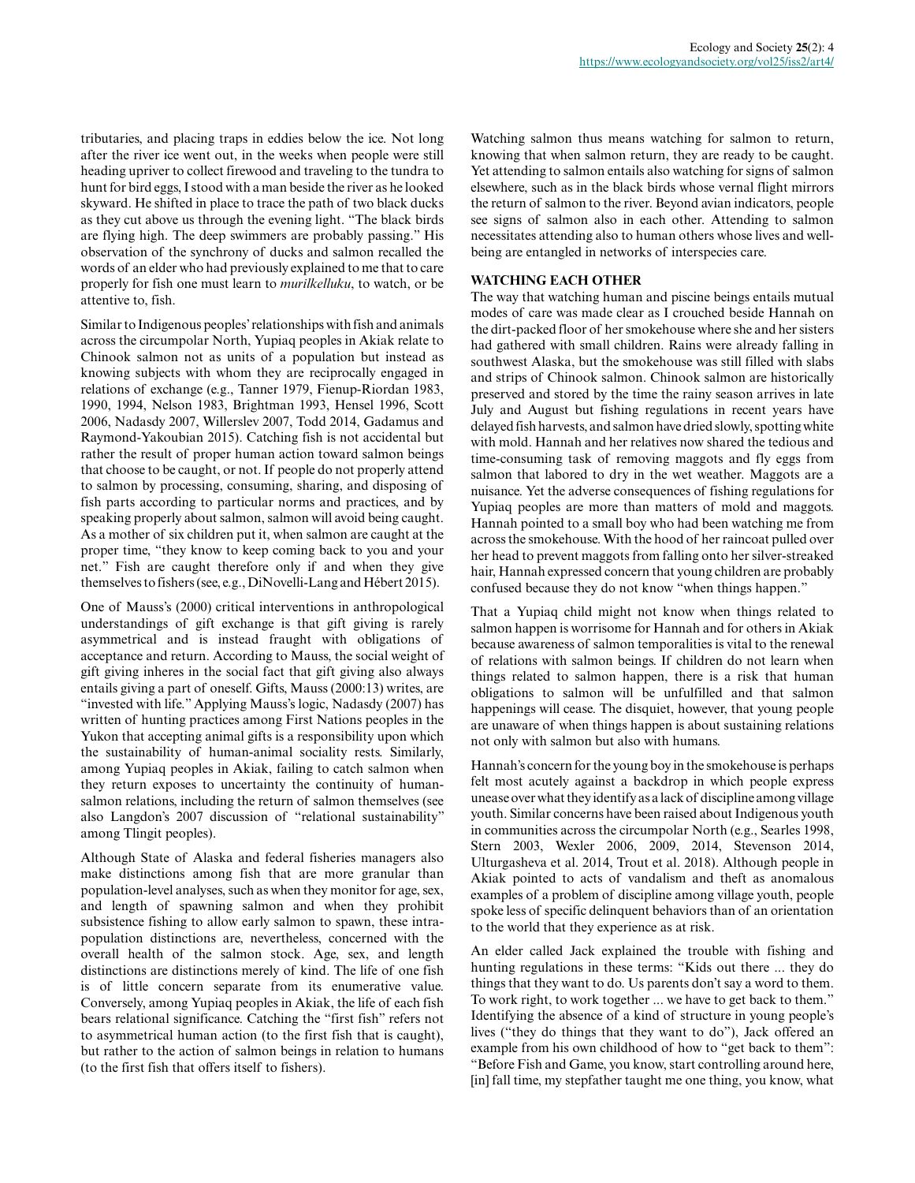tributaries, and placing traps in eddies below the ice. Not long after the river ice went out, in the weeks when people were still heading upriver to collect firewood and traveling to the tundra to hunt for bird eggs, I stood with a man beside the river as he looked skyward. He shifted in place to trace the path of two black ducks as they cut above us through the evening light. "The black birds are flying high. The deep swimmers are probably passing." His observation of the synchrony of ducks and salmon recalled the words of an elder who had previously explained to me that to care properly for fish one must learn to *murilkelluku*, to watch, or be attentive to, fish.

Similar to Indigenous peoples' relationships with fish and animals across the circumpolar North, Yupiaq peoples in Akiak relate to Chinook salmon not as units of a population but instead as knowing subjects with whom they are reciprocally engaged in relations of exchange (e.g., Tanner 1979, Fienup-Riordan 1983, 1990, 1994, Nelson 1983, Brightman 1993, Hensel 1996, Scott 2006, Nadasdy 2007, Willerslev 2007, Todd 2014, Gadamus and Raymond-Yakoubian 2015). Catching fish is not accidental but rather the result of proper human action toward salmon beings that choose to be caught, or not. If people do not properly attend to salmon by processing, consuming, sharing, and disposing of fish parts according to particular norms and practices, and by speaking properly about salmon, salmon will avoid being caught. As a mother of six children put it, when salmon are caught at the proper time, "they know to keep coming back to you and your net." Fish are caught therefore only if and when they give themselves to fishers (see, e.g., DiNovelli-Lang and Hébert 2015).

One of Mauss's (2000) critical interventions in anthropological understandings of gift exchange is that gift giving is rarely asymmetrical and is instead fraught with obligations of acceptance and return. According to Mauss, the social weight of gift giving inheres in the social fact that gift giving also always entails giving a part of oneself. Gifts, Mauss (2000:13) writes, are "invested with life." Applying Mauss's logic, Nadasdy (2007) has written of hunting practices among First Nations peoples in the Yukon that accepting animal gifts is a responsibility upon which the sustainability of human-animal sociality rests. Similarly, among Yupiaq peoples in Akiak, failing to catch salmon when they return exposes to uncertainty the continuity of humansalmon relations, including the return of salmon themselves (see also Langdon's 2007 discussion of "relational sustainability" among Tlingit peoples).

Although State of Alaska and federal fisheries managers also make distinctions among fish that are more granular than population-level analyses, such as when they monitor for age, sex, and length of spawning salmon and when they prohibit subsistence fishing to allow early salmon to spawn, these intrapopulation distinctions are, nevertheless, concerned with the overall health of the salmon stock. Age, sex, and length distinctions are distinctions merely of kind. The life of one fish is of little concern separate from its enumerative value. Conversely, among Yupiaq peoples in Akiak, the life of each fish bears relational significance. Catching the "first fish" refers not to asymmetrical human action (to the first fish that is caught), but rather to the action of salmon beings in relation to humans (to the first fish that offers itself to fishers).

Watching salmon thus means watching for salmon to return, knowing that when salmon return, they are ready to be caught. Yet attending to salmon entails also watching for signs of salmon elsewhere, such as in the black birds whose vernal flight mirrors the return of salmon to the river. Beyond avian indicators, people see signs of salmon also in each other. Attending to salmon necessitates attending also to human others whose lives and wellbeing are entangled in networks of interspecies care.

## **WATCHING EACH OTHER**

The way that watching human and piscine beings entails mutual modes of care was made clear as I crouched beside Hannah on the dirt-packed floor of her smokehouse where she and her sisters had gathered with small children. Rains were already falling in southwest Alaska, but the smokehouse was still filled with slabs and strips of Chinook salmon. Chinook salmon are historically preserved and stored by the time the rainy season arrives in late July and August but fishing regulations in recent years have delayed fish harvests, and salmon have dried slowly, spotting white with mold. Hannah and her relatives now shared the tedious and time-consuming task of removing maggots and fly eggs from salmon that labored to dry in the wet weather. Maggots are a nuisance. Yet the adverse consequences of fishing regulations for Yupiaq peoples are more than matters of mold and maggots. Hannah pointed to a small boy who had been watching me from across the smokehouse. With the hood of her raincoat pulled over her head to prevent maggots from falling onto her silver-streaked hair, Hannah expressed concern that young children are probably confused because they do not know "when things happen."

That a Yupiaq child might not know when things related to salmon happen is worrisome for Hannah and for others in Akiak because awareness of salmon temporalities is vital to the renewal of relations with salmon beings. If children do not learn when things related to salmon happen, there is a risk that human obligations to salmon will be unfulfilled and that salmon happenings will cease. The disquiet, however, that young people are unaware of when things happen is about sustaining relations not only with salmon but also with humans.

Hannah's concern for the young boy in the smokehouse is perhaps felt most acutely against a backdrop in which people express unease over what they identify as a lack of discipline among village youth. Similar concerns have been raised about Indigenous youth in communities across the circumpolar North (e.g., Searles 1998, Stern 2003, Wexler 2006, 2009, 2014, Stevenson 2014, Ulturgasheva et al. 2014, Trout et al. 2018). Although people in Akiak pointed to acts of vandalism and theft as anomalous examples of a problem of discipline among village youth, people spoke less of specific delinquent behaviors than of an orientation to the world that they experience as at risk.

An elder called Jack explained the trouble with fishing and hunting regulations in these terms: "Kids out there ... they do things that they want to do. Us parents don't say a word to them. To work right, to work together ... we have to get back to them." Identifying the absence of a kind of structure in young people's lives ("they do things that they want to do"), Jack offered an example from his own childhood of how to "get back to them": "Before Fish and Game, you know, start controlling around here, [in] fall time, my stepfather taught me one thing, you know, what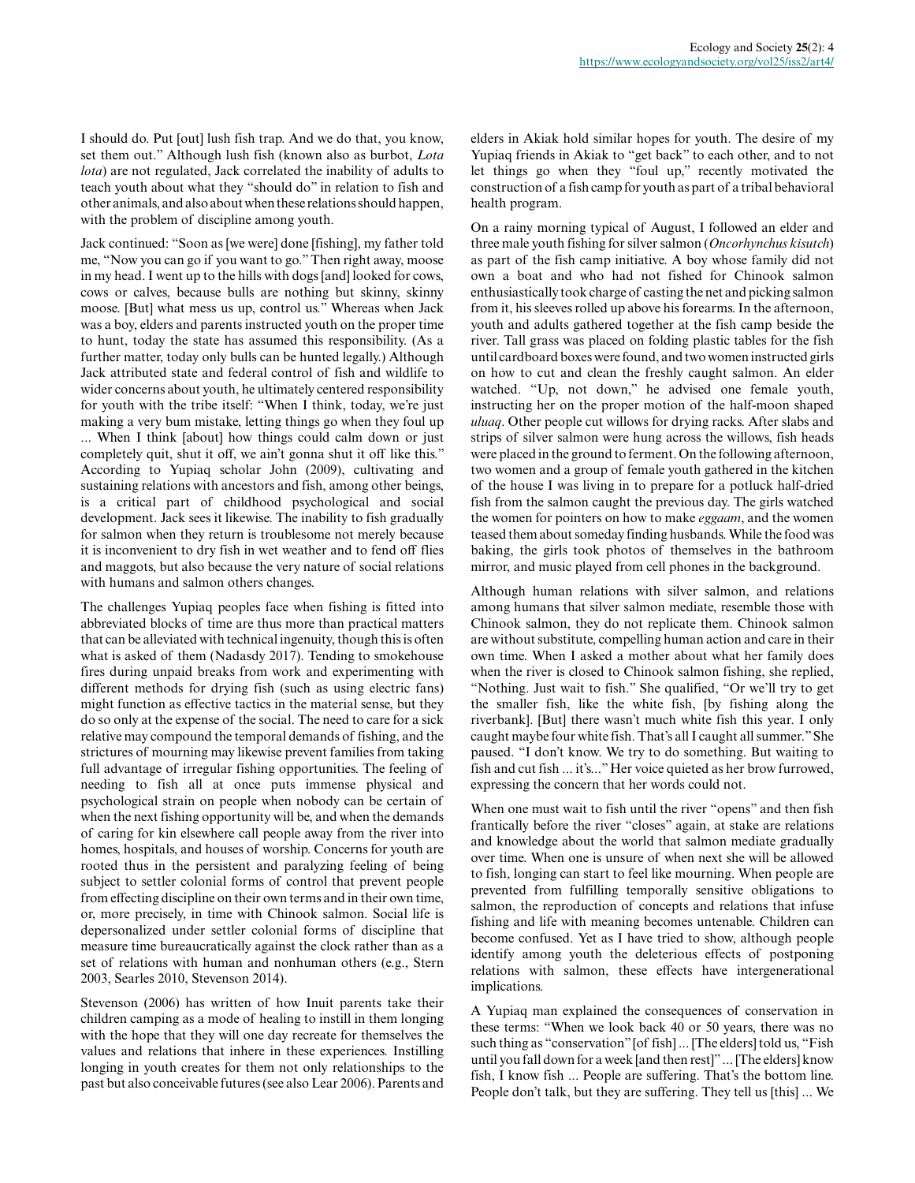I should do. Put [out] lush fish trap. And we do that, you know, set them out." Although lush fish (known also as burbot, *Lota lota*) are not regulated, Jack correlated the inability of adults to teach youth about what they "should do" in relation to fish and other animals, and also about when these relations should happen, with the problem of discipline among youth.

Jack continued: "Soon as [we were] done [fishing], my father told me, "Now you can go if you want to go." Then right away, moose in my head. I went up to the hills with dogs [and] looked for cows, cows or calves, because bulls are nothing but skinny, skinny moose. [But] what mess us up, control us." Whereas when Jack was a boy, elders and parents instructed youth on the proper time to hunt, today the state has assumed this responsibility. (As a further matter, today only bulls can be hunted legally.) Although Jack attributed state and federal control of fish and wildlife to wider concerns about youth, he ultimately centered responsibility for youth with the tribe itself: "When I think, today, we're just making a very bum mistake, letting things go when they foul up ... When I think [about] how things could calm down or just completely quit, shut it off, we ain't gonna shut it off like this." According to Yupiaq scholar John (2009), cultivating and sustaining relations with ancestors and fish, among other beings, is a critical part of childhood psychological and social development. Jack sees it likewise. The inability to fish gradually for salmon when they return is troublesome not merely because it is inconvenient to dry fish in wet weather and to fend off flies and maggots, but also because the very nature of social relations with humans and salmon others changes.

The challenges Yupiaq peoples face when fishing is fitted into abbreviated blocks of time are thus more than practical matters that can be alleviated with technical ingenuity, though this is often what is asked of them (Nadasdy 2017). Tending to smokehouse fires during unpaid breaks from work and experimenting with different methods for drying fish (such as using electric fans) might function as effective tactics in the material sense, but they do so only at the expense of the social. The need to care for a sick relative may compound the temporal demands of fishing, and the strictures of mourning may likewise prevent families from taking full advantage of irregular fishing opportunities. The feeling of needing to fish all at once puts immense physical and psychological strain on people when nobody can be certain of when the next fishing opportunity will be, and when the demands of caring for kin elsewhere call people away from the river into homes, hospitals, and houses of worship. Concerns for youth are rooted thus in the persistent and paralyzing feeling of being subject to settler colonial forms of control that prevent people from effecting discipline on their own terms and in their own time, or, more precisely, in time with Chinook salmon. Social life is depersonalized under settler colonial forms of discipline that measure time bureaucratically against the clock rather than as a set of relations with human and nonhuman others (e.g., Stern 2003, Searles 2010, Stevenson 2014).

Stevenson (2006) has written of how Inuit parents take their children camping as a mode of healing to instill in them longing with the hope that they will one day recreate for themselves the values and relations that inhere in these experiences. Instilling longing in youth creates for them not only relationships to the past but also conceivable futures (see also Lear 2006). Parents and elders in Akiak hold similar hopes for youth. The desire of my Yupiaq friends in Akiak to "get back" to each other, and to not let things go when they "foul up," recently motivated the construction of a fish camp for youth as part of a tribal behavioral health program.

On a rainy morning typical of August, I followed an elder and three male youth fishing for silver salmon (*Oncorhynchus kisutch*) as part of the fish camp initiative. A boy whose family did not own a boat and who had not fished for Chinook salmon enthusiastically took charge of casting the net and picking salmon from it, his sleeves rolled up above his forearms. In the afternoon, youth and adults gathered together at the fish camp beside the river. Tall grass was placed on folding plastic tables for the fish until cardboard boxes were found, and two women instructed girls on how to cut and clean the freshly caught salmon. An elder watched. "Up, not down," he advised one female youth, instructing her on the proper motion of the half-moon shaped *uluaq*. Other people cut willows for drying racks. After slabs and strips of silver salmon were hung across the willows, fish heads were placed in the ground to ferment. On the following afternoon, two women and a group of female youth gathered in the kitchen of the house I was living in to prepare for a potluck half-dried fish from the salmon caught the previous day. The girls watched the women for pointers on how to make *eggaam*, and the women teased them about someday finding husbands. While the food was baking, the girls took photos of themselves in the bathroom mirror, and music played from cell phones in the background.

Although human relations with silver salmon, and relations among humans that silver salmon mediate, resemble those with Chinook salmon, they do not replicate them. Chinook salmon are without substitute, compelling human action and care in their own time. When I asked a mother about what her family does when the river is closed to Chinook salmon fishing, she replied, "Nothing. Just wait to fish." She qualified, "Or we'll try to get the smaller fish, like the white fish, [by fishing along the riverbank]. [But] there wasn't much white fish this year. I only caught maybe four white fish. That's all I caught all summer." She paused. "I don't know. We try to do something. But waiting to fish and cut fish ... it's..." Her voice quieted as her brow furrowed, expressing the concern that her words could not.

When one must wait to fish until the river "opens" and then fish frantically before the river "closes" again, at stake are relations and knowledge about the world that salmon mediate gradually over time. When one is unsure of when next she will be allowed to fish, longing can start to feel like mourning. When people are prevented from fulfilling temporally sensitive obligations to salmon, the reproduction of concepts and relations that infuse fishing and life with meaning becomes untenable. Children can become confused. Yet as I have tried to show, although people identify among youth the deleterious effects of postponing relations with salmon, these effects have intergenerational implications.

A Yupiaq man explained the consequences of conservation in these terms: "When we look back 40 or 50 years, there was no such thing as "conservation" [of fish] ... [The elders] told us, "Fish until you fall down for a week [and then rest]" ... [The elders] know fish, I know fish ... People are suffering. That's the bottom line. People don't talk, but they are suffering. They tell us [this] ... We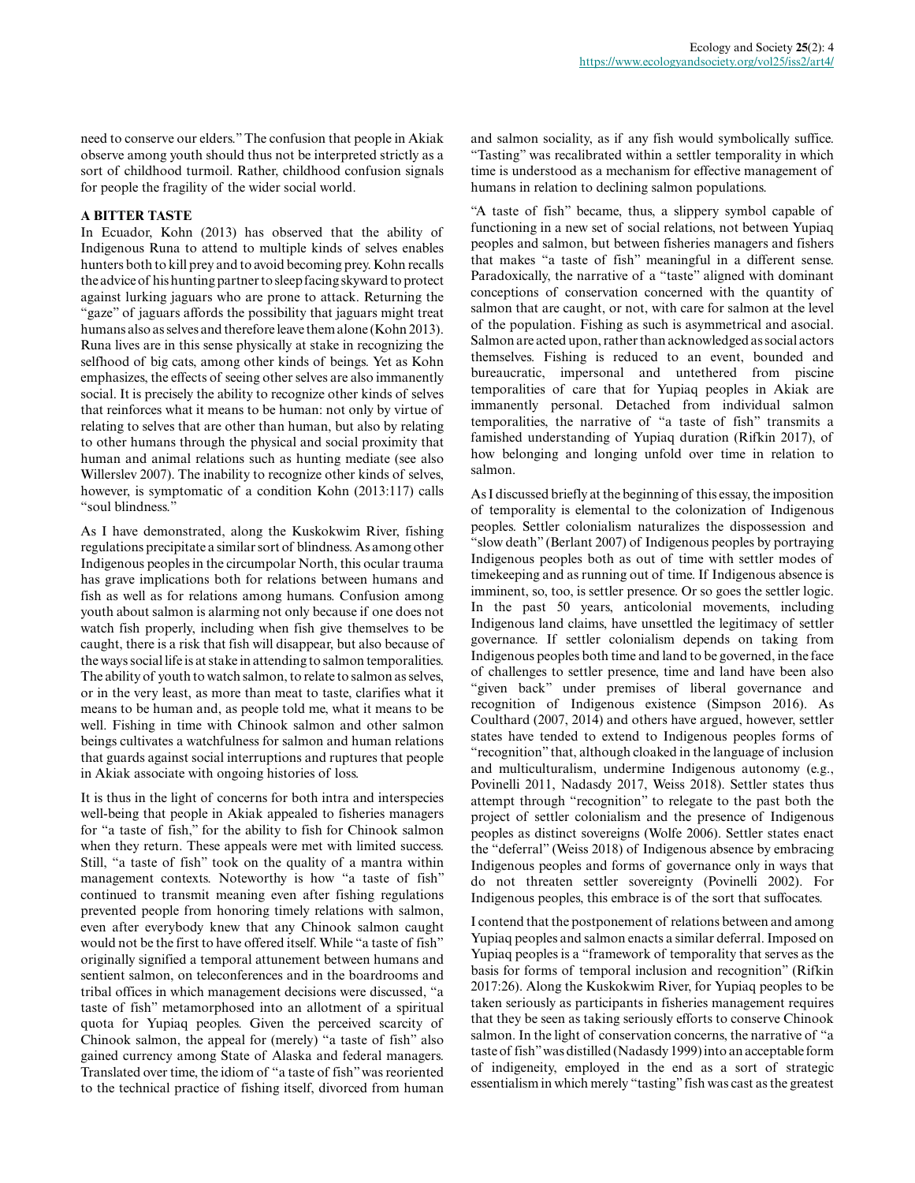need to conserve our elders." The confusion that people in Akiak observe among youth should thus not be interpreted strictly as a sort of childhood turmoil. Rather, childhood confusion signals for people the fragility of the wider social world.

## **A BITTER TASTE**

In Ecuador, Kohn (2013) has observed that the ability of Indigenous Runa to attend to multiple kinds of selves enables hunters both to kill prey and to avoid becoming prey. Kohn recalls the advice of his hunting partner to sleep facing skyward to protect against lurking jaguars who are prone to attack. Returning the "gaze" of jaguars affords the possibility that jaguars might treat humans also as selves and therefore leave them alone (Kohn 2013). Runa lives are in this sense physically at stake in recognizing the selfhood of big cats, among other kinds of beings. Yet as Kohn emphasizes, the effects of seeing other selves are also immanently social. It is precisely the ability to recognize other kinds of selves that reinforces what it means to be human: not only by virtue of relating to selves that are other than human, but also by relating to other humans through the physical and social proximity that human and animal relations such as hunting mediate (see also Willerslev 2007). The inability to recognize other kinds of selves, however, is symptomatic of a condition Kohn (2013:117) calls "soul blindness."

As I have demonstrated, along the Kuskokwim River, fishing regulations precipitate a similar sort of blindness. As among other Indigenous peoples in the circumpolar North, this ocular trauma has grave implications both for relations between humans and fish as well as for relations among humans. Confusion among youth about salmon is alarming not only because if one does not watch fish properly, including when fish give themselves to be caught, there is a risk that fish will disappear, but also because of the ways social life is at stake in attending to salmon temporalities. The ability of youth to watch salmon, to relate to salmon as selves, or in the very least, as more than meat to taste, clarifies what it means to be human and, as people told me, what it means to be well. Fishing in time with Chinook salmon and other salmon beings cultivates a watchfulness for salmon and human relations that guards against social interruptions and ruptures that people in Akiak associate with ongoing histories of loss.

It is thus in the light of concerns for both intra and interspecies well-being that people in Akiak appealed to fisheries managers for "a taste of fish," for the ability to fish for Chinook salmon when they return. These appeals were met with limited success. Still, "a taste of fish" took on the quality of a mantra within management contexts. Noteworthy is how "a taste of fish" continued to transmit meaning even after fishing regulations prevented people from honoring timely relations with salmon, even after everybody knew that any Chinook salmon caught would not be the first to have offered itself. While "a taste of fish" originally signified a temporal attunement between humans and sentient salmon, on teleconferences and in the boardrooms and tribal offices in which management decisions were discussed, "a taste of fish" metamorphosed into an allotment of a spiritual quota for Yupiaq peoples. Given the perceived scarcity of Chinook salmon, the appeal for (merely) "a taste of fish" also gained currency among State of Alaska and federal managers. Translated over time, the idiom of "a taste of fish" was reoriented to the technical practice of fishing itself, divorced from human

and salmon sociality, as if any fish would symbolically suffice. "Tasting" was recalibrated within a settler temporality in which time is understood as a mechanism for effective management of humans in relation to declining salmon populations.

"A taste of fish" became, thus, a slippery symbol capable of functioning in a new set of social relations, not between Yupiaq peoples and salmon, but between fisheries managers and fishers that makes "a taste of fish" meaningful in a different sense. Paradoxically, the narrative of a "taste" aligned with dominant conceptions of conservation concerned with the quantity of salmon that are caught, or not, with care for salmon at the level of the population. Fishing as such is asymmetrical and asocial. Salmon are acted upon, rather than acknowledged as social actors themselves. Fishing is reduced to an event, bounded and bureaucratic, impersonal and untethered from piscine temporalities of care that for Yupiaq peoples in Akiak are immanently personal. Detached from individual salmon temporalities, the narrative of "a taste of fish" transmits a famished understanding of Yupiaq duration (Rifkin 2017), of how belonging and longing unfold over time in relation to salmon.

As I discussed briefly at the beginning of this essay, the imposition of temporality is elemental to the colonization of Indigenous peoples. Settler colonialism naturalizes the dispossession and "slow death" (Berlant 2007) of Indigenous peoples by portraying Indigenous peoples both as out of time with settler modes of timekeeping and as running out of time. If Indigenous absence is imminent, so, too, is settler presence. Or so goes the settler logic. In the past 50 years, anticolonial movements, including Indigenous land claims, have unsettled the legitimacy of settler governance. If settler colonialism depends on taking from Indigenous peoples both time and land to be governed, in the face of challenges to settler presence, time and land have been also "given back" under premises of liberal governance and recognition of Indigenous existence (Simpson 2016). As Coulthard (2007, 2014) and others have argued, however, settler states have tended to extend to Indigenous peoples forms of "recognition" that, although cloaked in the language of inclusion and multiculturalism, undermine Indigenous autonomy (e.g., Povinelli 2011, Nadasdy 2017, Weiss 2018). Settler states thus attempt through "recognition" to relegate to the past both the project of settler colonialism and the presence of Indigenous peoples as distinct sovereigns (Wolfe 2006). Settler states enact the "deferral" (Weiss 2018) of Indigenous absence by embracing Indigenous peoples and forms of governance only in ways that do not threaten settler sovereignty (Povinelli 2002). For Indigenous peoples, this embrace is of the sort that suffocates.

I contend that the postponement of relations between and among Yupiaq peoples and salmon enacts a similar deferral. Imposed on Yupiaq peoples is a "framework of temporality that serves as the basis for forms of temporal inclusion and recognition" (Rifkin 2017:26). Along the Kuskokwim River, for Yupiaq peoples to be taken seriously as participants in fisheries management requires that they be seen as taking seriously efforts to conserve Chinook salmon. In the light of conservation concerns, the narrative of "a taste of fish" was distilled (Nadasdy 1999) into an acceptable form of indigeneity, employed in the end as a sort of strategic essentialism in which merely "tasting" fish was cast as the greatest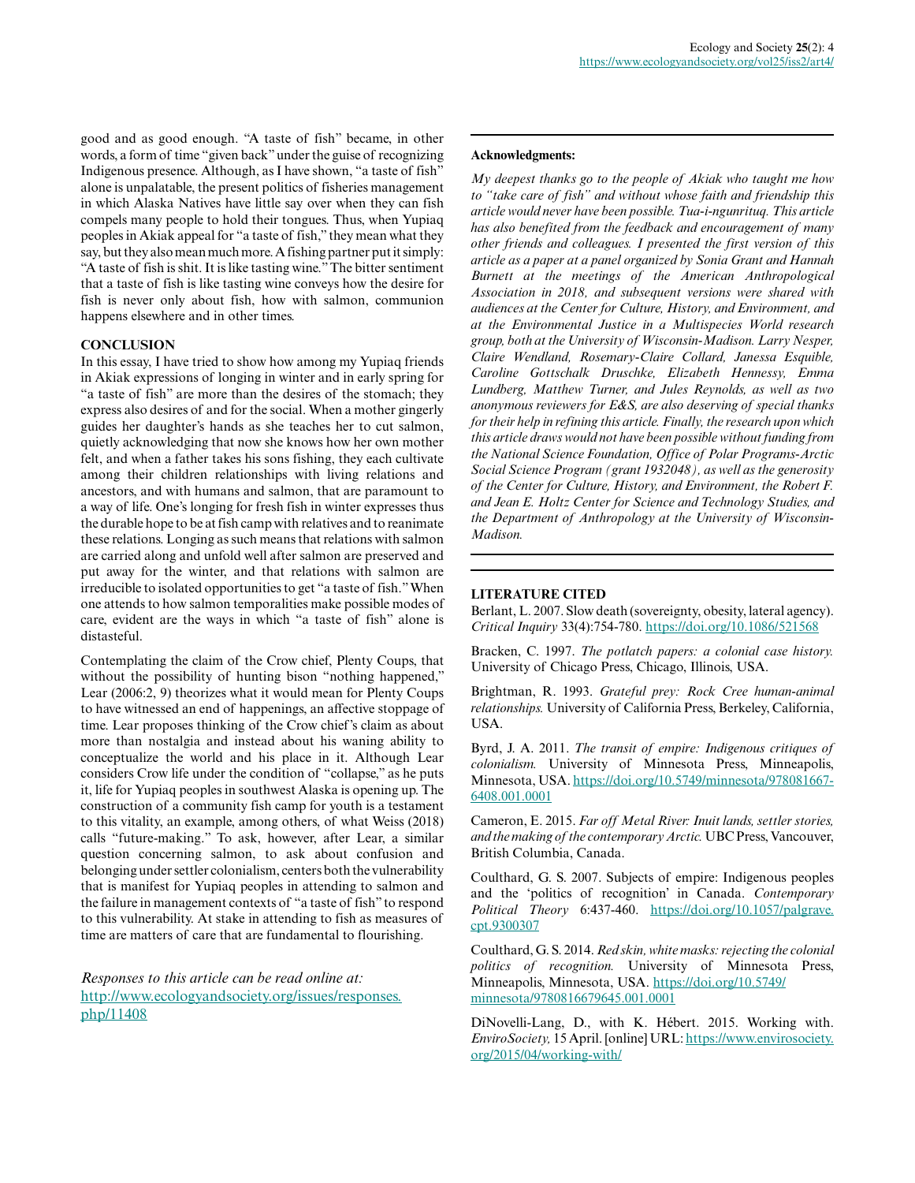good and as good enough. "A taste of fish" became, in other words, a form of time "given back" under the guise of recognizing Indigenous presence. Although, as I have shown, "a taste of fish" alone is unpalatable, the present politics of fisheries management in which Alaska Natives have little say over when they can fish compels many people to hold their tongues. Thus, when Yupiaq peoples in Akiak appeal for "a taste of fish," they mean what they say, but they also mean much more. A fishing partner put it simply: "A taste of fish is shit. It is like tasting wine." The bitter sentiment that a taste of fish is like tasting wine conveys how the desire for fish is never only about fish, how with salmon, communion happens elsewhere and in other times.

## **CONCLUSION**

In this essay, I have tried to show how among my Yupiaq friends in Akiak expressions of longing in winter and in early spring for "a taste of fish" are more than the desires of the stomach; they express also desires of and for the social. When a mother gingerly guides her daughter's hands as she teaches her to cut salmon, quietly acknowledging that now she knows how her own mother felt, and when a father takes his sons fishing, they each cultivate among their children relationships with living relations and ancestors, and with humans and salmon, that are paramount to a way of life. One's longing for fresh fish in winter expresses thus the durable hope to be at fish camp with relatives and to reanimate these relations. Longing as such means that relations with salmon are carried along and unfold well after salmon are preserved and put away for the winter, and that relations with salmon are irreducible to isolated opportunities to get "a taste of fish." When one attends to how salmon temporalities make possible modes of care, evident are the ways in which "a taste of fish" alone is distasteful.

Contemplating the claim of the Crow chief, Plenty Coups, that without the possibility of hunting bison "nothing happened," Lear (2006:2, 9) theorizes what it would mean for Plenty Coups to have witnessed an end of happenings, an affective stoppage of time. Lear proposes thinking of the Crow chief's claim as about more than nostalgia and instead about his waning ability to conceptualize the world and his place in it. Although Lear considers Crow life under the condition of "collapse," as he puts it, life for Yupiaq peoples in southwest Alaska is opening up. The construction of a community fish camp for youth is a testament to this vitality, an example, among others, of what Weiss (2018) calls "future-making." To ask, however, after Lear, a similar question concerning salmon, to ask about confusion and belonging under settler colonialism, centers both the vulnerability that is manifest for Yupiaq peoples in attending to salmon and the failure in management contexts of "a taste of fish" to respond to this vulnerability. At stake in attending to fish as measures of time are matters of care that are fundamental to flourishing.

*Responses to this article can be read online at:* [http://www.ecologyandsociety.org/issues/responses.](http://www.ecologyandsociety.org/issues/responses.php/11408) [php/11408](http://www.ecologyandsociety.org/issues/responses.php/11408)

#### **Acknowledgments:**

*My deepest thanks go to the people of Akiak who taught me how to "take care of fish" and without whose faith and friendship this article would never have been possible. Tua-i-ngunrituq. This article has also benefited from the feedback and encouragement of many other friends and colleagues. I presented the first version of this article as a paper at a panel organized by Sonia Grant and Hannah Burnett at the meetings of the American Anthropological Association in 2018, and subsequent versions were shared with audiences at the Center for Culture, History, and Environment, and at the Environmental Justice in a Multispecies World research group, both at the University of Wisconsin-Madison. Larry Nesper, Claire Wendland, Rosemary-Claire Collard, Janessa Esquible, Caroline Gottschalk Druschke, Elizabeth Hennessy, Emma Lundberg, Matthew Turner, and Jules Reynolds, as well as two anonymous reviewers for E&S, are also deserving of special thanks for their help in refining this article. Finally, the research upon which this article draws would not have been possible without funding from the National Science Foundation, Office of Polar Programs-Arctic Social Science Program (grant 1932048), as well as the generosity of the Center for Culture, History, and Environment, the Robert F. and Jean E. Holtz Center for Science and Technology Studies, and the Department of Anthropology at the University of Wisconsin-Madison.*

## **LITERATURE CITED**

Berlant, L. 2007. Slow death (sovereignty, obesity, lateral agency). *Critical Inquiry* 33(4):754-780. <https://doi.org/10.1086/521568>

Bracken, C. 1997. *The potlatch papers: a colonial case history.* University of Chicago Press, Chicago, Illinois, USA.

Brightman, R. 1993. *Grateful prey: Rock Cree human-animal relationships.* University of California Press, Berkeley, California, USA.

Byrd, J. A. 2011. *The transit of empire: Indigenous critiques of colonialism.* University of Minnesota Press, Minneapolis, Minnesota, USA. [https://doi.org/10.5749/minnesota/978081667](https://doi.org/10.5749/minnesota/9780816676408.001.0001) [6408.001.0001](https://doi.org/10.5749/minnesota/9780816676408.001.0001)

Cameron, E. 2015. *Far off Metal River: Inuit lands, settler stories, and the making of the contemporary Arctic.* UBC Press, Vancouver, British Columbia, Canada.

Coulthard, G. S. 2007. Subjects of empire: Indigenous peoples and the 'politics of recognition' in Canada. *Contemporary Political Theory* 6:437-460. [https://doi.org/10.1057/palgrave.](https://doi.org/10.1057/palgrave.cpt.9300307) [cpt.9300307](https://doi.org/10.1057/palgrave.cpt.9300307) 

Coulthard, G. S. 2014. *Red skin, white masks: rejecting the colonial politics of recognition.* University of Minnesota Press, Minneapolis, Minnesota, USA. [https://doi.org/10.5749/](https://doi.org/10.5749/minnesota/9780816679645.001.0001) [minnesota/9780816679645.001.0001](https://doi.org/10.5749/minnesota/9780816679645.001.0001)

DiNovelli-Lang, D., with K. Hébert. 2015. Working with. *EnviroSociety,* 15 April. [online] URL: [https://www.envirosociety.](https://www.envirosociety.org/2015/04/working-with/) [org/2015/04/working-with/](https://www.envirosociety.org/2015/04/working-with/)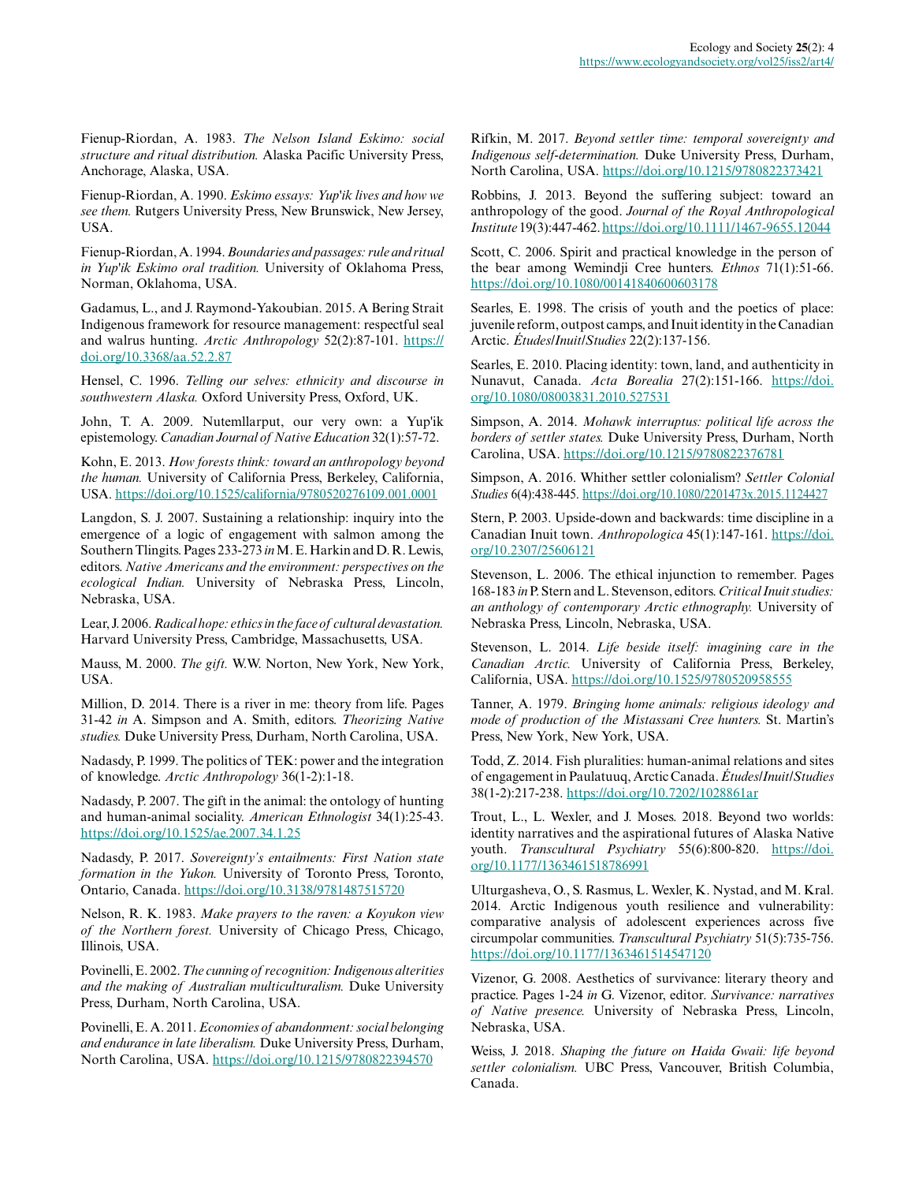Fienup-Riordan, A. 1983. *The Nelson Island Eskimo: social structure and ritual distribution.* Alaska Pacific University Press, Anchorage, Alaska, USA.

Fienup-Riordan, A. 1990. *Eskimo essays: Yup'ik lives and how we see them.* Rutgers University Press, New Brunswick, New Jersey, USA.

Fienup-Riordan, A. 1994. *Boundaries and passages: rule and ritual in Yup'ik Eskimo oral tradition.* University of Oklahoma Press, Norman, Oklahoma, USA.

Gadamus, L., and J. Raymond-Yakoubian. 2015. A Bering Strait Indigenous framework for resource management: respectful seal and walrus hunting. *Arctic Anthropology* 52(2):87-101. [https://](https://doi.org/10.3368/aa.52.2.87) [doi.org/10.3368/aa.52.2.87](https://doi.org/10.3368/aa.52.2.87) 

Hensel, C. 1996. *Telling our selves: ethnicity and discourse in southwestern Alaska.* Oxford University Press, Oxford, UK.

John, T. A. 2009. Nutemllarput, our very own: a Yup'ik epistemology. *Canadian Journal of Native Education* 32(1):57-72.

Kohn, E. 2013. *How forests think: toward an anthropology beyond the human.* University of California Press, Berkeley, California, USA.<https://doi.org/10.1525/california/9780520276109.001.0001>

Langdon, S. J. 2007. Sustaining a relationship: inquiry into the emergence of a logic of engagement with salmon among the Southern Tlingits. Pages 233-273 *in* M. E. Harkin and D. R. Lewis, editors. *Native Americans and the environment: perspectives on the ecological Indian.* University of Nebraska Press, Lincoln, Nebraska, USA.

Lear, J. 2006. *Radical hope: ethics in the face of cultural devastation.* Harvard University Press, Cambridge, Massachusetts, USA.

Mauss, M. 2000. *The gift.* W.W. Norton, New York, New York, USA.

Million, D. 2014. There is a river in me: theory from life. Pages 31-42 *in* A. Simpson and A. Smith, editors. *Theorizing Native studies.* Duke University Press, Durham, North Carolina, USA.

Nadasdy, P. 1999. The politics of TEK: power and the integration of knowledge. *Arctic Anthropology* 36(1-2):1-18.

Nadasdy, P. 2007. The gift in the animal: the ontology of hunting and human-animal sociality. *American Ethnologist* 34(1):25-43. <https://doi.org/10.1525/ae.2007.34.1.25>

Nadasdy, P. 2017. *Sovereignty's entailments: First Nation state formation in the Yukon.* University of Toronto Press, Toronto, Ontario, Canada.<https://doi.org/10.3138/9781487515720>

Nelson, R. K. 1983. *Make prayers to the raven: a Koyukon view of the Northern forest.* University of Chicago Press, Chicago, Illinois, USA.

Povinelli, E. 2002. *The cunning of recognition: Indigenous alterities and the making of Australian multiculturalism.* Duke University Press, Durham, North Carolina, USA.

Povinelli, E. A. 2011. *Economies of abandonment: social belonging and endurance in late liberalism.* Duke University Press, Durham, North Carolina, USA.<https://doi.org/10.1215/9780822394570>

Rifkin, M. 2017. *Beyond settler time: temporal sovereignty and Indigenous self-determination.* Duke University Press, Durham, North Carolina, USA.<https://doi.org/10.1215/9780822373421>

Robbins, J. 2013. Beyond the suffering subject: toward an anthropology of the good. *Journal of the Royal Anthropological Institute* 19(3):447-462.<https://doi.org/10.1111/1467-9655.12044>

Scott, C. 2006. Spirit and practical knowledge in the person of the bear among Wemindji Cree hunters. *Ethnos* 71(1):51-66. <https://doi.org/10.1080/00141840600603178>

Searles, E. 1998. The crisis of youth and the poetics of place: juvenile reform, outpost camps, and Inuit identity in the Canadian Arctic. *Études/Inuit/Studies* 22(2):137-156.

Searles, E. 2010. Placing identity: town, land, and authenticity in Nunavut, Canada. *Acta Borealia* 27(2):151-166. [https://doi.](https://doi.org/10.1080/08003831.2010.527531) [org/10.1080/08003831.2010.527531](https://doi.org/10.1080/08003831.2010.527531)

Simpson, A. 2014. *Mohawk interruptus: political life across the borders of settler states.* Duke University Press, Durham, North Carolina, USA.<https://doi.org/10.1215/9780822376781>

Simpson, A. 2016. Whither settler colonialism? *Settler Colonial Studies* 6(4):438-445. <https://doi.org/10.1080/2201473x.2015.1124427>

Stern, P. 2003. Upside-down and backwards: time discipline in a Canadian Inuit town. *Anthropologica* 45(1):147-161. [https://doi.](https://doi.org/10.2307/25606121) [org/10.2307/25606121](https://doi.org/10.2307/25606121)

Stevenson, L. 2006. The ethical injunction to remember. Pages 168-183 *in* P. Stern and L. Stevenson, editors. *Critical Inuit studies: an anthology of contemporary Arctic ethnography.* University of Nebraska Press, Lincoln, Nebraska, USA.

Stevenson, L. 2014. *Life beside itself: imagining care in the Canadian Arctic.* University of California Press, Berkeley, California, USA. <https://doi.org/10.1525/9780520958555>

Tanner, A. 1979. *Bringing home animals: religious ideology and mode of production of the Mistassani Cree hunters.* St. Martin's Press, New York, New York, USA.

Todd, Z. 2014. Fish pluralities: human-animal relations and sites of engagement in Paulatuuq, Arctic Canada. *Études/Inuit/Studies* 38(1-2):217-238.<https://doi.org/10.7202/1028861ar>

Trout, L., L. Wexler, and J. Moses. 2018. Beyond two worlds: identity narratives and the aspirational futures of Alaska Native youth. *Transcultural Psychiatry* 55(6):800-820. [https://doi.](https://doi.org/10.1177/1363461518786991) [org/10.1177/1363461518786991](https://doi.org/10.1177/1363461518786991)

Ulturgasheva, O., S. Rasmus, L. Wexler, K. Nystad, and M. Kral. 2014. Arctic Indigenous youth resilience and vulnerability: comparative analysis of adolescent experiences across five circumpolar communities. *Transcultural Psychiatry* 51(5):735-756. <https://doi.org/10.1177/1363461514547120>

Vizenor, G. 2008. Aesthetics of survivance: literary theory and practice. Pages 1-24 *in* G. Vizenor, editor. *Survivance: narratives of Native presence.* University of Nebraska Press, Lincoln, Nebraska, USA.

Weiss, J. 2018. *Shaping the future on Haida Gwaii: life beyond settler colonialism.* UBC Press, Vancouver, British Columbia, Canada.